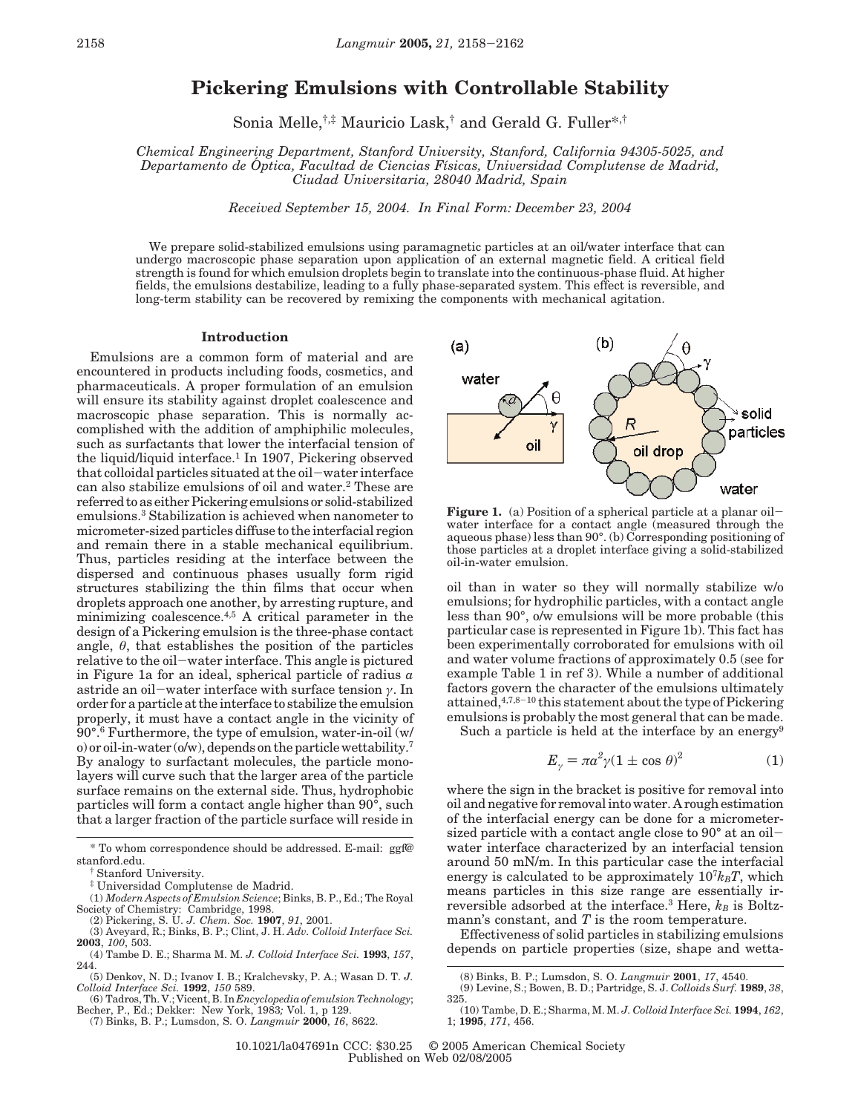# **Pickering Emulsions with Controllable Stability**

Sonia Melle,†,‡ Mauricio Lask,† and Gerald G. Fuller\*,†

*Chemical Engineering Department, Stanford University, Stanford, California 94305-5025, and Departamento de O*Ä *ptica, Facultad de Ciencias Fı*´*sicas, Universidad Complutense de Madrid, Ciudad Universitaria, 28040 Madrid, Spain*

*Received September 15, 2004. In Final Form: December 23, 2004*

We prepare solid-stabilized emulsions using paramagnetic particles at an oil/water interface that can undergo macroscopic phase separation upon application of an external magnetic field. A critical field strength is found for which emulsion droplets begin to translate into the continuous-phase fluid. At higher fields, the emulsions destabilize, leading to a fully phase-separated system. This effect is reversible, and long-term stability can be recovered by remixing the components with mechanical agitation.

#### **Introduction**

Emulsions are a common form of material and are encountered in products including foods, cosmetics, and pharmaceuticals. A proper formulation of an emulsion will ensure its stability against droplet coalescence and macroscopic phase separation. This is normally accomplished with the addition of amphiphilic molecules, such as surfactants that lower the interfacial tension of the liquid/liquid interface.<sup>1</sup> In 1907, Pickering observed that colloidal particles situated at the oil-water interface can also stabilize emulsions of oil and water.2 These are referred to as either Pickering emulsions or solid-stabilized emulsions.3 Stabilization is achieved when nanometer to micrometer-sized particles diffuse to the interfacial region and remain there in a stable mechanical equilibrium. Thus, particles residing at the interface between the dispersed and continuous phases usually form rigid structures stabilizing the thin films that occur when droplets approach one another, by arresting rupture, and minimizing coalescence.4,5 A critical parameter in the design of a Pickering emulsion is the three-phase contact angle,  $\theta$ , that establishes the position of the particles relative to the oil-water interface. This angle is pictured in Figure 1a for an ideal, spherical particle of radius *a* astride an oil-water interface with surface tension *<sup>γ</sup>*. In order for a particle at the interface to stabilize the emulsion properly, it must have a contact angle in the vicinity of 90°.6 Furthermore, the type of emulsion, water-in-oil (w/ o) or oil-in-water (o/w), depends on the particle wettability.<sup>7</sup> By analogy to surfactant molecules, the particle monolayers will curve such that the larger area of the particle surface remains on the external side. Thus, hydrophobic particles will form a contact angle higher than 90°, such that a larger fraction of the particle surface will reside in

(1) *Modern Aspects of Emulsion Science*; Binks, B. P., Ed.; The Royal Society of Chemistry: Cambridge, 1998. (2) Pickering, S. U. *J. Chem. Soc.* **1907**, *91*, 2001. (3) Aveyard, R.; Binks, B. P.; Clint, J. H. *Adv. Colloid Interface Sci.*

Becher, P., Ed.; Dekker: New York, 1983*;* Vol. 1, p 129. (7) Binks, B. P.; Lumsdon, S. O. *Langmuir* **2000**, *16*, 8622.



**Figure 1.** (a) Position of a spherical particle at a planar oil-water interface for a contact angle (measured through the aqueous phase) less than 90°. (b) Corresponding positioning of those particles at a droplet interface giving a solid-stabilized oil-in-water emulsion.

oil than in water so they will normally stabilize w/o emulsions; for hydrophilic particles, with a contact angle less than 90°, o/w emulsions will be more probable (this particular case is represented in Figure 1b). This fact has been experimentally corroborated for emulsions with oil and water volume fractions of approximately 0.5 (see for example Table 1 in ref 3). While a number of additional factors govern the character of the emulsions ultimately attained,4,7,8-<sup>10</sup> this statement about the type of Pickering emulsions is probably the most general that can be made.

Such a particle is held at the interface by an energy<sup>9</sup>

$$
E_{\gamma} = \pi a^2 \gamma (1 \pm \cos \theta)^2 \tag{1}
$$

where the sign in the bracket is positive for removal into oil and negative for removal into water. A rough estimation of the interfacial energy can be done for a micrometersized particle with a contact angle close to  $90^{\circ}$  at an oilwater interface characterized by an interfacial tension around 50 mN/m. In this particular case the interfacial energy is calculated to be approximately  $10<sup>7</sup>k_BT$ , which means particles in this size range are essentially irreversible adsorbed at the interface.<sup>3</sup> Here,  $k_B$  is Boltzmann's constant, and *T* is the room temperature.

Effectiveness of solid particles in stabilizing emulsions depends on particle properties (size, shape and wetta-

10.1021/la047691n CCC: \$30.25 © 2005 American Chemical Society Published on Web 02/08/2005

<sup>\*</sup> To whom correspondence should be addressed. E-mail: ggf@ stanford.edu.

<sup>†</sup> Stanford University.

<sup>‡</sup> Universidad Complutense de Madrid.

**<sup>2003</sup>**, *100*, 503.

<sup>(4)</sup> Tambe D. E.; Sharma M. M. *J. Colloid Interface Sci.* **1993**, *157*, 244. (5) Denkov, N. D.; Ivanov I. B.; Kralchevsky, P. A.; Wasan D. T. *J.*

*Colloid Interface Sci.* **1992**, *150* 589. (6) Tadros, Th. V.; Vicent, B. In *Encyclopedia of emulsion Technology*;

<sup>(8)</sup> Binks, B. P.; Lumsdon, S. O. *Langmuir* **2001**, *17*, 4540.

<sup>(9)</sup> Levine, S.; Bowen, B. D.; Partridge, S. J. *Colloids Surf.* **1989**, *38*, 325.

<sup>(10)</sup> Tambe, D. E.; Sharma, M. M. *J. Colloid Interface Sci.* **1994**, *162*, 1; **1995**, *171*, 456.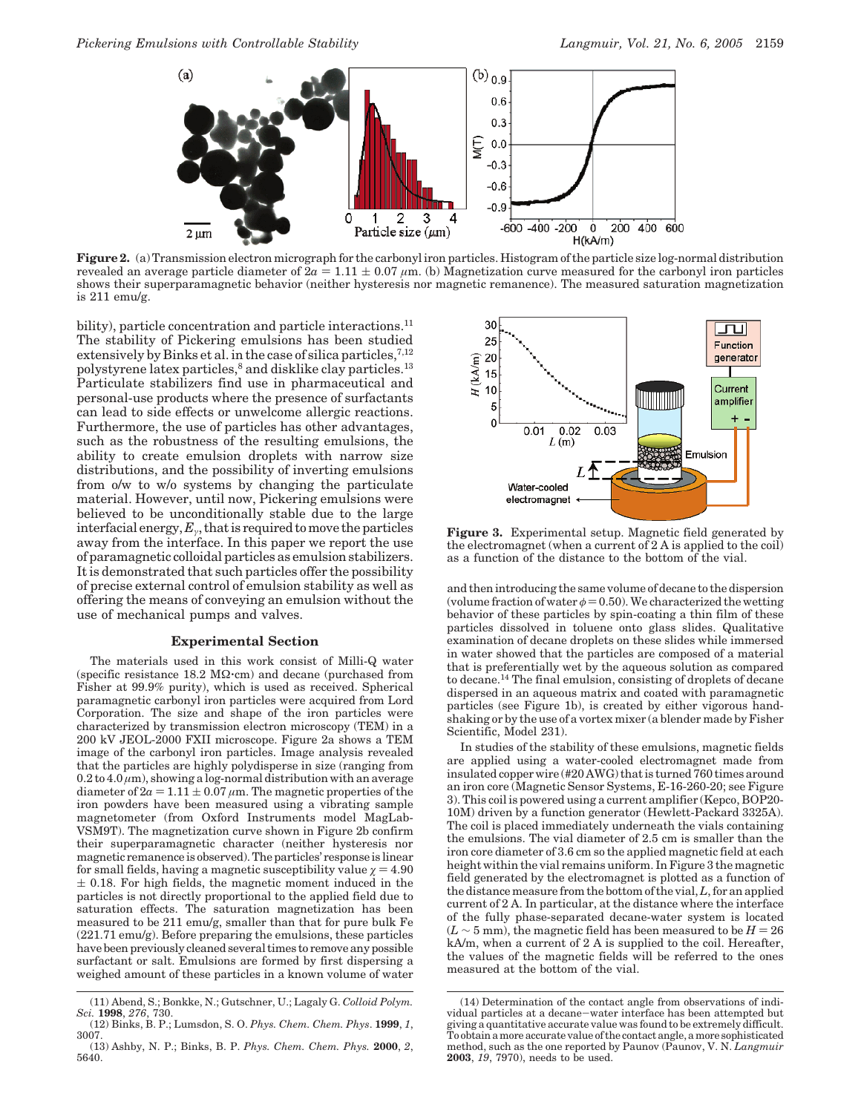

**Figure 2.** (a) Transmission electron micrograph for the carbonyl iron particles. Histogram of the particle size log-normal distribution revealed an average particle diameter of  $2a = 1.11 \pm 0.07 \ \mu \text{m}$ . (b) Magnetization curve measured for the carbonyl iron particles shows their superparamagnetic behavior (neither hysteresis nor magnetic remanence). The measured saturation magnetization is 211 emu/g.

bility), particle concentration and particle interactions.<sup>11</sup> The stability of Pickering emulsions has been studied extensively by Binks et al. in the case of silica particles,<sup>7,12</sup> polystyrene latex particles,<sup>8</sup> and disklike clay particles.<sup>13</sup> Particulate stabilizers find use in pharmaceutical and personal-use products where the presence of surfactants can lead to side effects or unwelcome allergic reactions. Furthermore, the use of particles has other advantages, such as the robustness of the resulting emulsions, the ability to create emulsion droplets with narrow size distributions, and the possibility of inverting emulsions from o/w to w/o systems by changing the particulate material. However, until now, Pickering emulsions were believed to be unconditionally stable due to the large interfacial energy, *Eγ*, that is required to move the particles away from the interface. In this paper we report the use of paramagnetic colloidal particles as emulsion stabilizers. It is demonstrated that such particles offer the possibility of precise external control of emulsion stability as well as offering the means of conveying an emulsion without the use of mechanical pumps and valves.

### **Experimental Section**

The materials used in this work consist of Milli-Q water (specific resistance 18.2 MΩ'cm) and decane (purchased from Fisher at 99.9% purity), which is used as received. Spherical paramagnetic carbonyl iron particles were acquired from Lord Corporation. The size and shape of the iron particles were characterized by transmission electron microscopy (TEM) in a 200 kV JEOL-2000 FXII microscope. Figure 2a shows a TEM image of the carbonyl iron particles. Image analysis revealed that the particles are highly polydisperse in size (ranging from  $0.2$  to  $4.0 \mu$ m), showing a log-normal distribution with an average diameter of  $2a = 1.11 \pm 0.07 \,\mu \text{m}$ . The magnetic properties of the iron powders have been measured using a vibrating sample magnetometer (from Oxford Instruments model MagLab-VSM9T). The magnetization curve shown in Figure 2b confirm their superparamagnetic character (neither hysteresis nor magnetic remanence is observed). The particles' response is linear for small fields, having a magnetic susceptibility value  $\chi = 4.90$  $\pm$  0.18. For high fields, the magnetic moment induced in the particles is not directly proportional to the applied field due to saturation effects. The saturation magnetization has been measured to be 211 emu/g, smaller than that for pure bulk Fe (221.71 emu/g). Before preparing the emulsions, these particles have been previously cleaned several times to remove any possible surfactant or salt. Emulsions are formed by first dispersing a weighed amount of these particles in a known volume of water



**Figure 3.** Experimental setup. Magnetic field generated by the electromagnet (when a current of 2 A is applied to the coil) as a function of the distance to the bottom of the vial.

and then introducing the same volume of decane to the dispersion (volume fraction of water  $\phi = 0.50$ ). We characterized the wetting behavior of these particles by spin-coating a thin film of these particles dissolved in toluene onto glass slides. Qualitative examination of decane droplets on these slides while immersed in water showed that the particles are composed of a material that is preferentially wet by the aqueous solution as compared to decane.14 The final emulsion, consisting of droplets of decane dispersed in an aqueous matrix and coated with paramagnetic particles (see Figure 1b), is created by either vigorous handshaking or by the use of a vortex mixer (a blender made by Fisher Scientific, Model 231).

In studies of the stability of these emulsions, magnetic fields are applied using a water-cooled electromagnet made from insulated copper wire (#20 AWG) that is turned 760 times around an iron core (Magnetic Sensor Systems, E-16-260-20; see Figure 3). This coil is powered using a current amplifier (Kepco, BOP20- 10M) driven by a function generator (Hewlett-Packard 3325A). The coil is placed immediately underneath the vials containing the emulsions. The vial diameter of 2.5 cm is smaller than the iron core diameter of 3.6 cm so the applied magnetic field at each height within the vial remains uniform. In Figure 3 the magnetic field generated by the electromagnet is plotted as a function of the distance measure from the bottom of the vial,*L*, for an applied current of 2 A. In particular, at the distance where the interface of the fully phase-separated decane-water system is located  $(L \sim 5$  mm), the magnetic field has been measured to be  $H = 26$ kA/m, when a current of 2 A is supplied to the coil. Hereafter, the values of the magnetic fields will be referred to the ones measured at the bottom of the vial.

<sup>(11)</sup> Abend, S.; Bonkke, N.; Gutschner, U.; Lagaly G. *Colloid Polym. Sci.* **1998**, *276*, 730.

<sup>(12)</sup> Binks, B. P.; Lumsdon, S. O. *Phys. Chem. Chem. Phys*. **1999**, *1*, 3007.

<sup>(13)</sup> Ashby, N. P.; Binks, B. P. *Phys. Chem. Chem. Phys.* **2000**, *2*, 5640.

<sup>(14)</sup> Determination of the contact angle from observations of individual particles at a decane-water interface has been attempted but giving a quantitative accurate value was found to be extremely difficult. To obtain a more accurate value of the contact angle, a more sophisticated method, such as the one reported by Paunov (Paunov, V. N. *Langmuir* **2003**, *19*, 7970), needs to be used.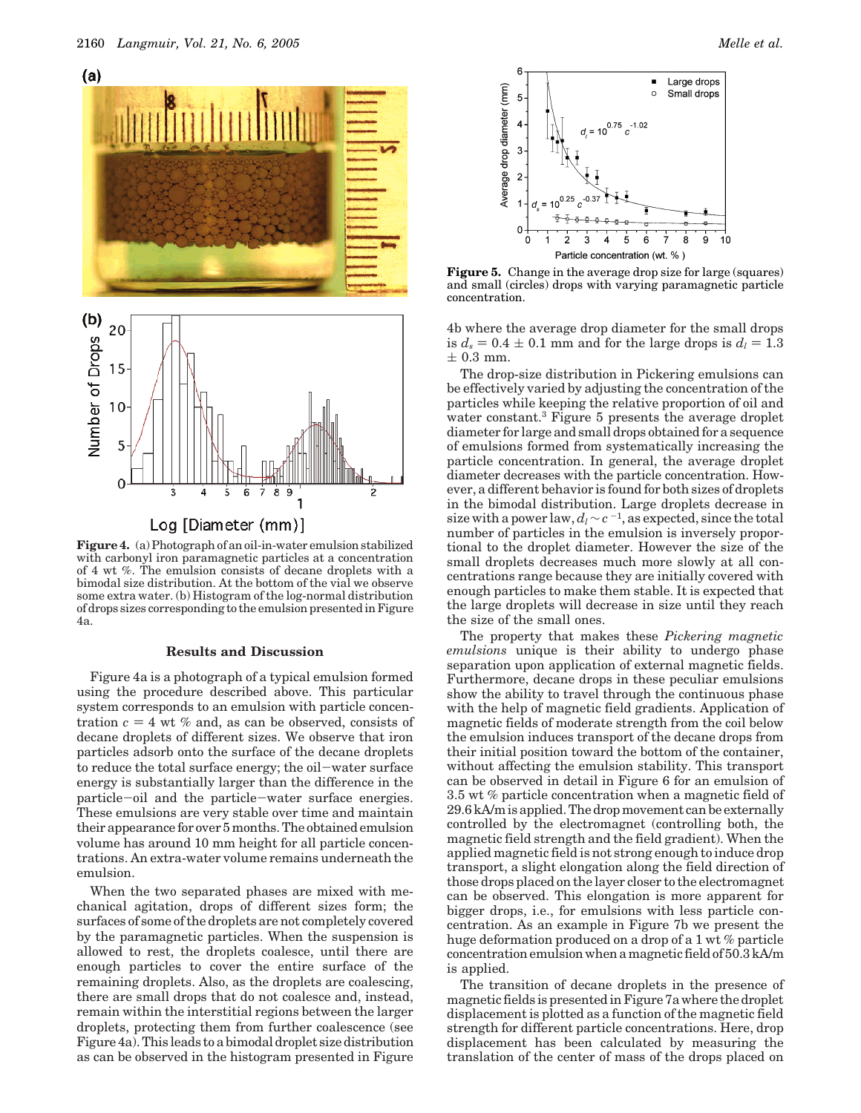

**Figure 4.** (a) Photograph of an oil-in-water emulsion stabilized with carbonyl iron paramagnetic particles at a concentration of 4 wt %. The emulsion consists of decane droplets with a bimodal size distribution. At the bottom of the vial we observe some extra water. (b) Histogram of the log-normal distribution of drops sizes corresponding to the emulsion presented in Figure 4a.

## **Results and Discussion**

Figure 4a is a photograph of a typical emulsion formed using the procedure described above. This particular system corresponds to an emulsion with particle concentration  $c = 4$  wt % and, as can be observed, consists of decane droplets of different sizes. We observe that iron particles adsorb onto the surface of the decane droplets to reduce the total surface energy; the oil-water surface energy is substantially larger than the difference in the particle-oil and the particle-water surface energies. These emulsions are very stable over time and maintain their appearance for over 5 months. The obtained emulsion volume has around 10 mm height for all particle concentrations. An extra-water volume remains underneath the emulsion.

When the two separated phases are mixed with mechanical agitation, drops of different sizes form; the surfaces of some of the droplets are not completely covered by the paramagnetic particles. When the suspension is allowed to rest, the droplets coalesce, until there are enough particles to cover the entire surface of the remaining droplets. Also, as the droplets are coalescing, there are small drops that do not coalesce and, instead, remain within the interstitial regions between the larger droplets, protecting them from further coalescence (see Figure 4a). This leads to a bimodal droplet size distribution as can be observed in the histogram presented in Figure



**Figure 5.** Change in the average drop size for large (squares) and small (circles) drops with varying paramagnetic particle concentration.

4b where the average drop diameter for the small drops is  $d_s = 0.4 \pm 0.1$  mm and for the large drops is  $d_l = 1.3$  $\pm$  0.3 mm.

The drop-size distribution in Pickering emulsions can be effectively varied by adjusting the concentration of the particles while keeping the relative proportion of oil and water constant.3 Figure 5 presents the average droplet diameter for large and small drops obtained for a sequence of emulsions formed from systematically increasing the particle concentration. In general, the average droplet diameter decreases with the particle concentration. However, a different behavior is found for both sizes of droplets in the bimodal distribution. Large droplets decrease in size with a power law,  $d_l \sim c^{-1}$ , as expected, since the total number of particles in the emulsion is inversely proportional to the droplet diameter. However the size of the small droplets decreases much more slowly at all concentrations range because they are initially covered with enough particles to make them stable. It is expected that the large droplets will decrease in size until they reach the size of the small ones.

The property that makes these *Pickering magnetic emulsions* unique is their ability to undergo phase separation upon application of external magnetic fields. Furthermore, decane drops in these peculiar emulsions show the ability to travel through the continuous phase with the help of magnetic field gradients. Application of magnetic fields of moderate strength from the coil below the emulsion induces transport of the decane drops from their initial position toward the bottom of the container, without affecting the emulsion stability. This transport can be observed in detail in Figure 6 for an emulsion of 3.5 wt % particle concentration when a magnetic field of 29.6 kA/m is applied. The drop movement can be externally controlled by the electromagnet (controlling both, the magnetic field strength and the field gradient). When the applied magnetic field is not strong enough to induce drop transport, a slight elongation along the field direction of those drops placed on the layer closer to the electromagnet can be observed. This elongation is more apparent for bigger drops, i.e., for emulsions with less particle concentration. As an example in Figure 7b we present the huge deformation produced on a drop of a 1 wt % particle concentration emulsion when a magnetic field of 50.3 kA/m is applied.

The transition of decane droplets in the presence of magnetic fields is presented in Figure 7a where the droplet displacement is plotted as a function of the magnetic field strength for different particle concentrations. Here, drop displacement has been calculated by measuring the translation of the center of mass of the drops placed on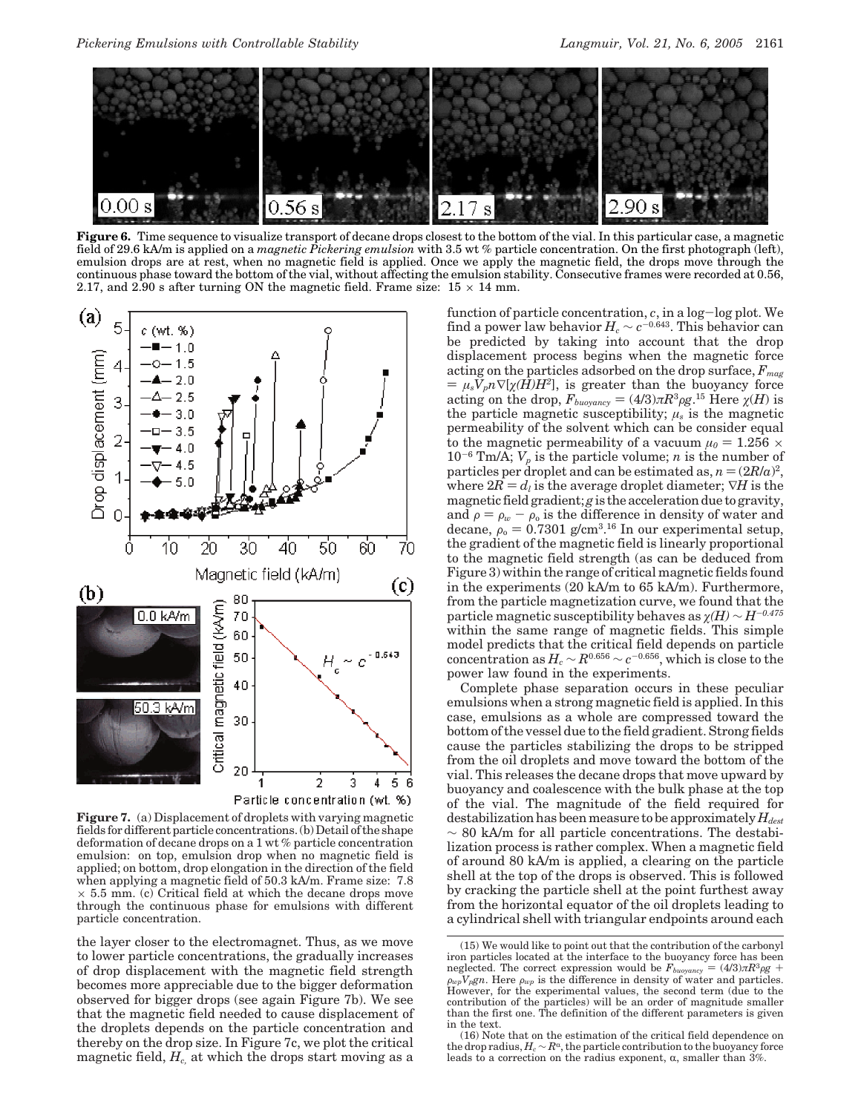

**Figure 6.** Time sequence to visualize transport of decane drops closest to the bottom of the vial. In this particular case, a magnetic field of 29.6 kA/m is applied on a *magnetic Pickering emulsion* with 3.5 wt % particle concentration. On the first photograph (left), emulsion drops are at rest, when no magnetic field is applied. Once we apply the magnetic field, the drops move through the continuous phase toward the bottom of the vial, without affecting the emulsion stability. Consecutive frames were recorded at 0.56, 2.17, and 2.90 s after turning ON the magnetic field. Frame size:  $15 \times 14$  mm.



**Figure 7.** (a) Displacement of droplets with varying magnetic fields for different particle concentrations. (b) Detail of the shape deformation of decane drops on a 1 wt % particle concentration emulsion: on top, emulsion drop when no magnetic field is applied; on bottom, drop elongation in the direction of the field when applying a magnetic field of 50.3 kA/m. Frame size: 7.8  $\times$  5.5 mm. (c) Critical field at which the decane drops move through the continuous phase for emulsions with different particle concentration.

the layer closer to the electromagnet. Thus, as we move to lower particle concentrations, the gradually increases of drop displacement with the magnetic field strength becomes more appreciable due to the bigger deformation observed for bigger drops (see again Figure 7b). We see that the magnetic field needed to cause displacement of the droplets depends on the particle concentration and thereby on the drop size. In Figure 7c, we plot the critical magnetic field, *Hc,* at which the drops start moving as a

function of particle concentration, *<sup>c</sup>*, in a log-log plot. We find a power law behavior  $H_c \sim c^{-0.643}$ . This behavior can be predicted by taking into account that the drop displacement process begins when the magnetic force acting on the particles adsorbed on the drop surface,  $F_{\text{mag}}$  $=\mu_s V_p n \nabla[\chi(H)H^2]$ , is greater than the buoyancy force acting on the drop,  $F_{buoyancy} = (4/3)\pi R^3 \rho g$ .<sup>15</sup> Here *χ*(*H*) is the particle magnetic susceptibility: *μ*, is the magnetic the particle magnetic susceptibility;  $\mu_s$  is the magnetic permeability of the solvent which can be consider equal to the magnetic permeability of a vacuum  $\mu_0 = 1.256 \times$  $10^{-6}$  Tm/A;  $V_p$  is the particle volume; *n* is the number of particles per droplet and can be estimated as,  $n = (2R/a)^2$ , where  $2R = d_l$  is the average droplet diameter;  $\nabla H$  is the magnetic field gradient; *g* is the acceleration due to gravity, and  $\rho = \rho_w - \rho_0$  is the difference in density of water and decape  $\rho_s = 0.7301 \frac{\text{g}}{\text{cm}^3}$  <sup>16</sup> In our experimental setup. decane,  $\rho_{0} = 0.7301$  g/cm<sup>3</sup>.<sup>16</sup> In our experimental setup,<br>the gradient of the magnetic field is linearly proportional the gradient of the magnetic field is linearly proportional to the magnetic field strength (as can be deduced from Figure 3) within the range of critical magnetic fields found in the experiments (20 kA/m to 65 kA/m). Furthermore, from the particle magnetization curve, we found that the particle magnetic susceptibility behaves as *ø(H)* ∼ *H*-*0.475* within the same range of magnetic fields. This simple model predicts that the critical field depends on particle  $\text{concentration as } H_c \sim R^{0.656} \sim c^{-0.656}, \text{which is close to the}$ power law found in the experiments.

Complete phase separation occurs in these peculiar emulsions when a strong magnetic field is applied. In this case, emulsions as a whole are compressed toward the bottom of the vessel due to the field gradient. Strong fields cause the particles stabilizing the drops to be stripped from the oil droplets and move toward the bottom of the vial. This releases the decane drops that move upward by buoyancy and coalescence with the bulk phase at the top of the vial. The magnitude of the field required for destabilization has been measure to be approximately  $H_{dest}$  $\sim 80$  kA/m for all particle concentrations. The destabilization process is rather complex. When a magnetic field of around 80 kA/m is applied, a clearing on the particle shell at the top of the drops is observed. This is followed by cracking the particle shell at the point furthest away from the horizontal equator of the oil droplets leading to a cylindrical shell with triangular endpoints around each

<sup>(15)</sup> We would like to point out that the contribution of the carbonyl iron particles located at the interface to the buoyancy force has been neglected. The correct expression would be  $F_{buoyancy} = (4/3)\pi R^3 \rho g + \rho_{wp} V_p g n$ . Here  $\rho_{wp}$  is the difference in density of water and particles.<br>However, for the experimental values, the second term (due to the contribution of the particles) will be an order of magnitude smaller than the first one. The definition of the different parameters is given in the text.

<sup>(16)</sup> Note that on the estimation of the critical field dependence on the drop radius,  $H_c \sim R^{\alpha}$ , the particle contribution to the buoyancy force leads to a correction on the radius exponent,  $\alpha$ , smaller than  $3\%$ .